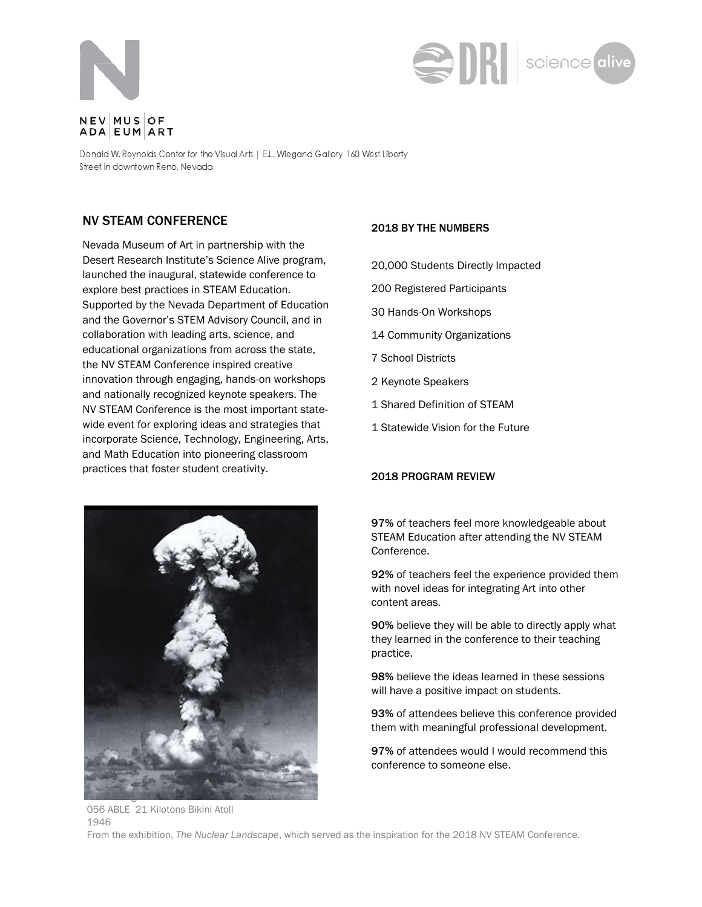



Donald W. Reynolds Center for the Visual Arts | E.L. Wiegand Gallery 160 West Liberty Street in downtown Reno, Nevada

## NV STEAM CONFERENCE

Nevada Museum of Art in partnership with the Desert Research Institute's Science Alive program, launched the inaugural, statewide conference to explore best practices in STEAM Education. Supported by the Nevada Department of Education and the Governor's STEM Advisory Council, and in collaboration with leading arts, science, and educational organizations from across the state, the NV STEAM Conference inspired creative innovation through engaging, hands-on workshops and nationally recognized keynote speakers. The NV STEAM Conference is the most important statewide event for exploring ideas and strategies that incorporate Science, Technology, Engineering, Arts, and Math Education into pioneering classroom practices that foster student creativity.



#### 2018 BY THE NUMBERS

- 20,000 Students Directly Impacted
- 200 Registered Participants
- 30 Hands-On Workshops
- 14 Community Organizations
- 7 School Districts
- 2 Keynote Speakers
- 1 Shared Definition of STEAM
- 1 Statewide Vision for the Future

#### 2018 PROGRAM REVIEW

97% of teachers feel more knowledgeable about STEAM Education after attending the NV STEAM Conference.

92% of teachers feel the experience provided them with novel ideas for integrating Art into other content areas.

90% believe they will be able to directly apply what they learned in the conference to their teaching practice.

98% believe the ideas learned in these sessions will have a positive impact on students.

93% of attendees believe this conference provided them with meaningful professional development.

97% of attendees would I would recommend this conference to someone else.

056 ABLE 21 Kilotons Bikini Atoll 1946 From the exhibition, *The Nuclear Landscape*, which served as the inspiration for the 2018 NV STEAM Conference.